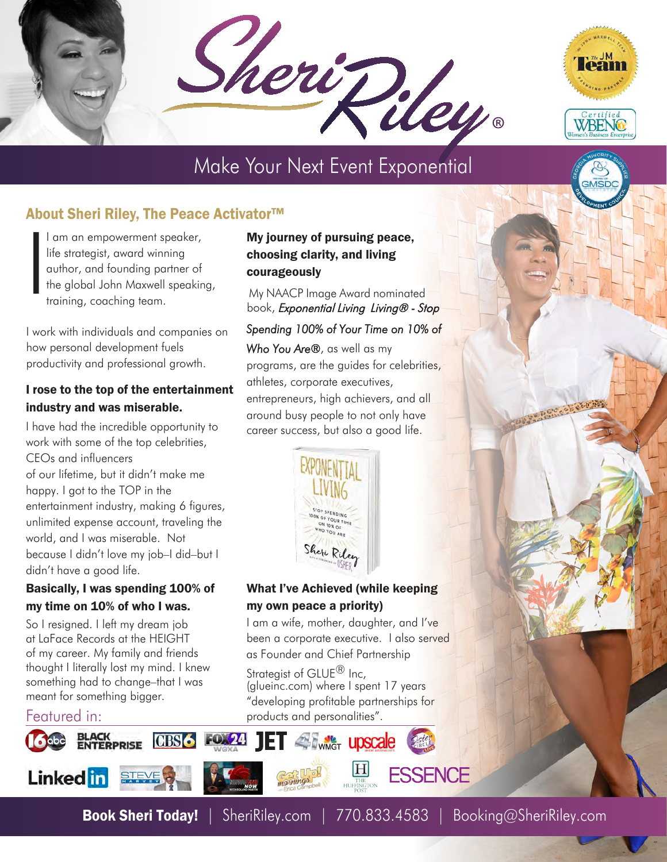SheriPiley.



# Make Your Next Event Exponential

## About Sheri Riley, The Peace Activator™

I I am an empowerment speaker, life strategist, award winning author, and founding partner of the global John Maxwell speaking, training, coaching team.

I work with individuals and companies on how personal development fuels productivity and professional growth.

#### I rose to the top of the entertainment industry and was miserable.

I have had the incredible opportunity to work with some of the top celebrities, CEOs and influencers of our lifetime, but it didn't make me happy. I got to the TOP in the entertainment industry, making 6 figures, unlimited expense account, traveling the world, and I was miserable. Not because I didn't love my job–I did–but I didn't have a good life.

#### Basically, I was spending 100% of my time on 10% of who I was.

So I resigned. I left my dream job at LaFace Records at the HEIGHT of my career. My family and friends thought I literally lost my mind. I knew something had to change–that I was meant for something bigger.

### Featured in:



### My journey of pursuing peace, choosing clarity, and living courageously

My NAACP Image Award nominated book, Exponential Living Living® - Stop

### Spending 100% of Your Time on 10% of

Who You Are®, as well as my programs, are the guides for celebrities, athletes, corporate executives, entrepreneurs, high achievers, and all around busy people to not only have career success, but also a good life.



#### What I've Achieved (while keeping my own peace a priority)

I am a wife, mother, daughter, and I've been a corporate executive. I also served [as Founder an](http://glueinc.com)d Chief Partnership

Strategist of GLUE<sup>®</sup> Inc, (glueinc.com) where I spent 17 years "developing profitable partnerships for products and personalities".

**E Twitter** upscale